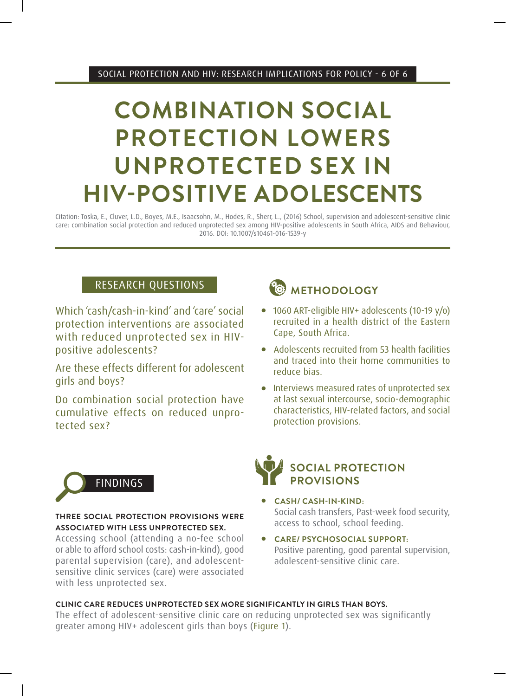# **COMBINATION SOCIAL PROTECTION LOWERS UNPROTECTED SEX IN HIV-POSITIVE ADOLESCENTS**

Citation: Toska, E., Cluver, L.D., Boyes, M.E., Isaacsohn, M., Hodes, R., Sherr, L., (2016) School, supervision and adolescent-sensitive clinic care: combination social protection and reduced unprotected sex among HIV-positive adolescents in South Africa, AIDS and Behaviour, 2016. DOI: 10.1007/s10461-016-1539-y

### RESEARCH QUESTIONS

Which 'cash/cash-in-kind' and 'care' social protection interventions are associated with reduced unprotected sex in HIVpositive adolescents?

Are these effects different for adolescent girls and boys?

Do combination social protection have cumulative effects on reduced unprotected sex?



- 1060 ART-eligible HIV+ adolescents (10-19 v/o) recruited in a health district of the Eastern Cape, South Africa.
- Adolescents recruited from 53 health facilities and traced into their home communities to reduce bias.
- Interviews measured rates of unprotected sex at last sexual intercourse, socio-demographic characteristics, HIV-related factors, and social protection provisions.



#### **THREE SOCIAL PROTECTION PROVISIONS WERE ASSOCIATED WITH LESS UNPROTECTED SEX.**

Accessing school (attending a no-fee school or able to afford school costs: cash-in-kind), good parental supervision (care), and adolescentsensitive clinic services (care) were associated with less unprotected sex.



- <sup>l</sup> **CASH/ CASH-IN-KIND:** Social cash transfers, Past-week food security, access to school, school feeding.
- $\bullet$  CARE/ PSYCHOSOCIAL SUPPORT: Positive parenting, good parental supervision, adolescent-sensitive clinic care.

#### **CLINIC CARE REDUCES UNPROTECTED SEX MORE SIGNIFICANTLY IN GIRLS THAN BOYS.**

The effect of adolescent-sensitive clinic care on reducing unprotected sex was significantly greater among HIV+ adolescent girls than boys (Figure 1).